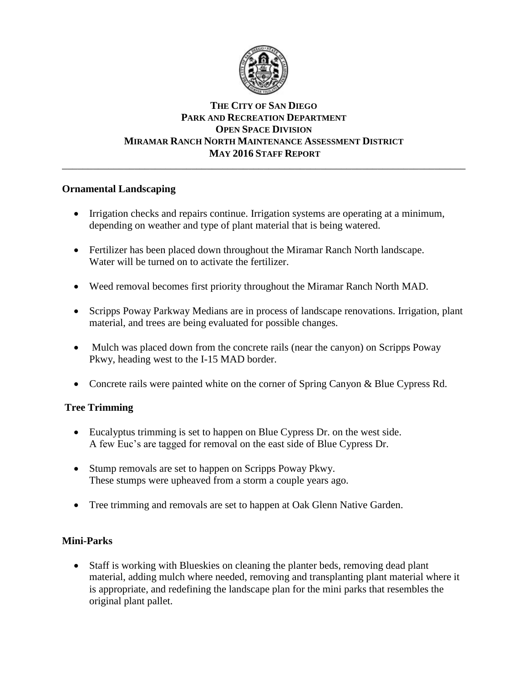

### **THE CITY OF SAN DIEGO PARK AND RECREATION DEPARTMENT OPEN SPACE DIVISION MIRAMAR RANCH NORTH MAINTENANCE ASSESSMENT DISTRICT MAY 2016 STAFF REPORT** \_\_\_\_\_\_\_\_\_\_\_\_\_\_\_\_\_\_\_\_\_\_\_\_\_\_\_\_\_\_\_\_\_\_\_\_\_\_\_\_\_\_\_\_\_\_\_\_\_\_\_\_\_\_\_\_\_\_\_\_\_\_\_\_\_\_\_\_\_\_\_\_\_\_\_\_\_\_

# **Ornamental Landscaping**

- Irrigation checks and repairs continue. Irrigation systems are operating at a minimum, depending on weather and type of plant material that is being watered.
- Fertilizer has been placed down throughout the Miramar Ranch North landscape. Water will be turned on to activate the fertilizer.
- Weed removal becomes first priority throughout the Miramar Ranch North MAD.
- Scripps Poway Parkway Medians are in process of landscape renovations. Irrigation, plant material, and trees are being evaluated for possible changes.
- Mulch was placed down from the concrete rails (near the canyon) on Scripps Poway Pkwy, heading west to the I-15 MAD border.
- Concrete rails were painted white on the corner of Spring Canyon & Blue Cypress Rd.

# **Tree Trimming**

- Eucalyptus trimming is set to happen on Blue Cypress Dr. on the west side. A few Euc's are tagged for removal on the east side of Blue Cypress Dr.
- Stump removals are set to happen on Scripps Poway Pkwy. These stumps were upheaved from a storm a couple years ago.
- Tree trimming and removals are set to happen at Oak Glenn Native Garden.

# **Mini-Parks**

 Staff is working with Blueskies on cleaning the planter beds, removing dead plant material, adding mulch where needed, removing and transplanting plant material where it is appropriate, and redefining the landscape plan for the mini parks that resembles the original plant pallet.